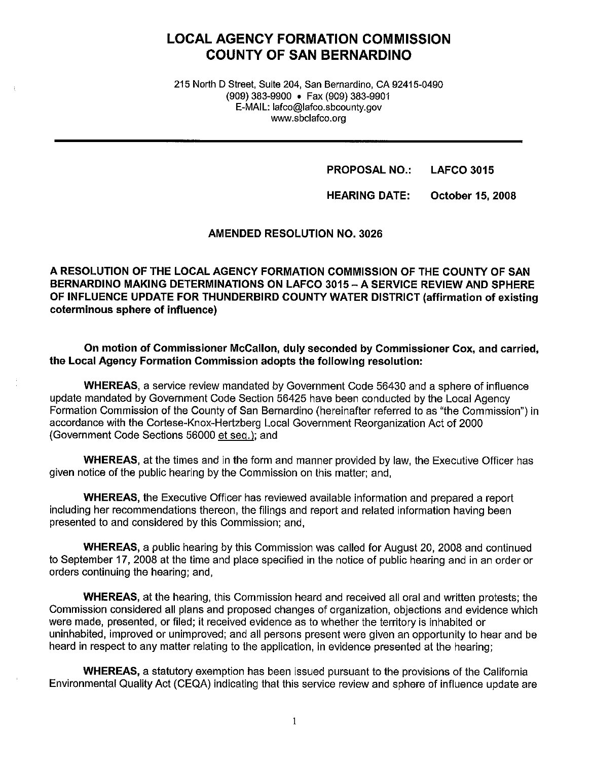# **LOCAL AGENCY FORMATION COMMISSION COUNTY OF SAN BERNARDINO**

215 North D Street, Suite 204, San Bernardino, CA 92415-0490 (909) 383-9900 • Fax (909) 383-9901 E-MAIL: lafco@lafco.sbcounty.gov www.sbclafco.org

**PROPOSAL NO.: LAFCO 3015** 

**HEARING DATE: October 15, 2008** 

**AMENDED RESOLUTION NO. 3026** 

**A RESOLUTION OF THE LOCAL AGENCY FORMATION COMMISSION OF THE COUNTY OF SAN BERNARDINO MAKING DETERMINATIONS ON LAFCO 3015-A SERVICE REVIEW AND SPHERE OF INFLUENCE UPDATE FOR THUNDERBIRD COUNTY WATER DISTRICT (affirmation of existing coterminous sphere of influence)** 

**On motion of Commissioner Mccallon, duly seconded by Commissioner Cox, and carried, the Local Agency Formation Commission adopts the following resolution:** 

**WHEREAS,** a service review mandated by Government Code 56430 and a sphere of influence update mandated by Government Code Section 56425 have been conducted by the Local Agency Formation Commission of the County of San Bernardino (hereinafter referred to as "the Commission") in accordance with the Cortese-Knox-Hertzberg Local Government Reorganization Act of 2000 (Government Code Sections 56000 et seq.); and

**WHEREAS,** at the times and in the form and manner provided by law, the Executive Officer has given notice of the public hearing by the Commission on this matter; and,

**WHEREAS,** the Executive Officer has reviewed available information and prepared a report including her recommendations thereon, the filings and report and related information having been presented to and considered by this Commission; and,

**WHEREAS,** a public hearing by this Commission was called for August 20, 2008 and continued to September 17, 2008 at the time and place specified in the notice of public hearing and in an order or orders continuing the hearing; and,

**WHEREAS,** at the hearing, this Commission heard and received all oral and written protests; the Commission considered all plans and proposed changes of organization, objections and evidence which were made, presented, or filed; it received evidence as to whether the territory is inhabited or uninhabited, improved or unimproved; and all persons present were given an opportunity to hear and be heard in respect to any matter relating to the application, in evidence presented at the hearing;

**WHEREAS,** a statutory exemption has been issued pursuant to the provisions of the California Environmental Quality Act (CEQA) indicating that this service review and sphere of influence update are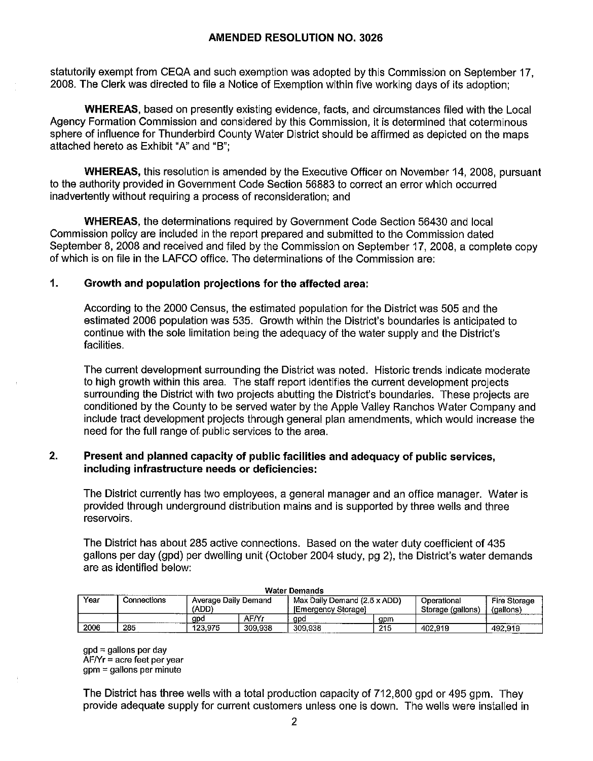# **AMENDED RESOLUTION NO. 3026**

statutorily exempt from CEQA and such exemption was adopted by this Commission on September 17, 2008. The Clerk was directed to file a Notice of Exemption within five working days of its adoption;

**WHEREAS,** based on presently existing evidence, facts, and circumstances filed with the Local Agency Formation Commission and considered by this Commission, it is determined that coterminous sphere of influence for Thunderbird County Water District should be affirmed as depicted on the maps attached hereto as Exhibit "A" and "B";

**WHEREAS,** this resolution is amended by the Executive Officer on November 14, 2008, pursuant to the authority provided in Government Code Section 56883 to correct an error which occurred inadvertently without requiring a process of reconsideration; and

**WHEREAS,** the determinations required by Government Code Section 56430 and local Commission policy are included in the report prepared and submitted to the Commission dated September 8, 2008 and received and filed by the Commission on September 17, 2008, a complete copy of which is on file in the LAFCO office. The determinations of the Commission are:

# **1. Growth and population projections for the affected area:**

According to the 2000 Census, the estimated population for the District was 505 and the estimated 2006 population was 535. Growth within the District's boundaries is anticipated to continue with the sole limitation being the adequacy of the water supply and the District's facilities.

The current development surrounding the District was noted. Historic trends indicate moderate to high growth within this area. The staff report identifies the current development projects surrounding the District with two projects abutting the District's boundaries. These projects are conditioned by the County to be served water by the Apple Valley Ranchos Water Company and include tract development projects through general plan amendments, which would increase the need for the full range of public services to the area.

# **2. Present and planned capacity of public facilities and adequacy of public services, including infrastructure needs or deficiencies:**

The District currently has two employees, a general manager and an office manager. Water is provided through underground distribution mains and is supported by three wells and three reservoirs.

The District has about 285 active connections. Based on the water duty coefficient of 435 gallons per day (gpd) per dwelling unit (October 2004 study, pg 2), the District's water demands are as identified below:

| Year | Connections | Average Daily Demand<br>(ADD |         | . Max Daily Demand (2.5 x ADD)<br><b>IEmergency Storagel</b> |     | Operational<br>Storage (gallons) | <b>Fire Storage</b><br>(gallons)<br>______ |  |
|------|-------------|------------------------------|---------|--------------------------------------------------------------|-----|----------------------------------|--------------------------------------------|--|
|      |             | gpc                          | AF/Yr   | gpd                                                          | gpm |                                  |                                            |  |
| 2006 | 285         | 123.975                      | 309.938 | 309,938                                                      | 215 | 402,919                          | 492.919                                    |  |

**Water Demands** 

 $qpd =$  gallons per day AF/Yr= acre feet per year gpm = gallons per minute

The District has three wells with a total production capacity of 712,800 gpd or 495 gpm. They provide adequate supply for current customers unless one is down. The wells were installed in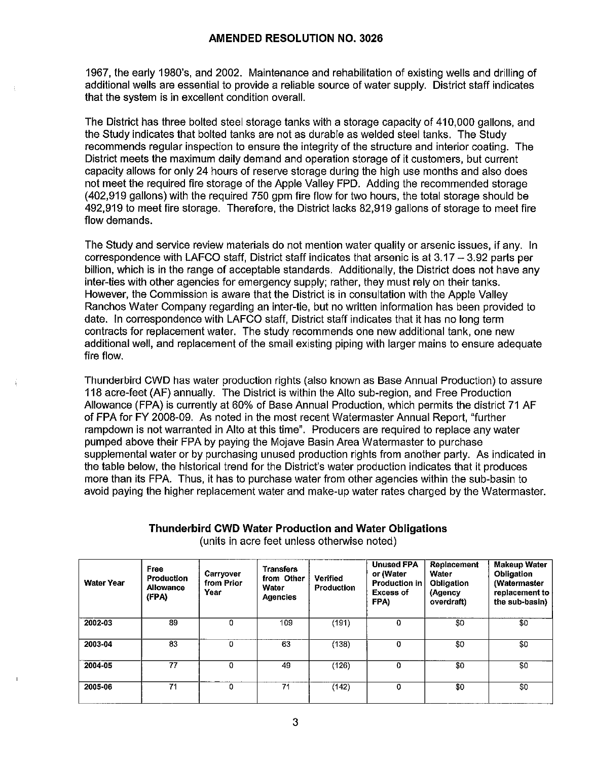1967, the early 1980's, and 2002. Maintenance and rehabilitation of existing wells and drilling of additional wells are essential to provide a reliable source of water supply. District staff indicates that the system is in excellent condition overall.

The District has three bolted steel storage tanks with a storage capacity of 410,000 gallons, and the Study indicates that bolted tanks are not as durable as welded steel tanks. The Study recommends regular inspection to ensure the integrity of the structure and interior coating. The District meets the maximum daily demand and operation storage of it customers, but current capacity allows for only 24 hours of reserve storage during the high use months and also does not meet the required fire storage of the Apple Valley FPD. Adding the recommended storage (402,919 gallons) with the required 750 gpm fire flow for two hours, the total storage should be 492,919 to meet fire storage. Therefore, the District lacks 82,919 gallons of storage to meet fire flow demands.

The Study and service review materials do not mention water quality or arsenic issues, if any. In correspondence with LAFCO staff, District staff indicates that arsenic is at  $3.17 - 3.92$  parts per billion, which is in the range of acceptable standards. Additionally, the District does not have any inter-ties with other agencies for emergency supply; rather, they must rely on their tanks. However, the Commission is aware that the District is in consultation with the Apple Valley Ranchos Water Company regarding an inter-tie, but no written information has been provided to date. In correspondence with LAFCO staff, District staff indicates that it has no long term contracts for replacement water. The study recommends one new additional tank, one new additional well, and replacement of the small existing piping with larger mains to ensure adequate fire flow.

Thunderbird CWD has water production rights (also known as Base Annual Production) to assure 118 acre-feet (AF) annually. The District is within the Alto sub-region, and Free Production Allowance (FPA) is currently at 60% of Base Annual Production, which permits the district 71 AF of FPA for FY 2008-09. As noted in the most recent Watermaster Annual Report, "further rampdown is not warranted in Alto at this time". Producers are required to replace any water pumped above their FPA by paying the Mojave Basin Area Watermaster to purchase supplemental water or by purchasing unused production rights from another party. As indicated in the table below, the historical trend for the District's water production indicates that it produces more than its FPA. Thus, it has to purchase water from other agencies within the sub-basin to avoid paying the higher replacement water and make-up water rates charged by the Watermaster.

| <b>Water Year</b> | Free<br><b>Production</b><br>Allowance<br>(FPA) | Carryover<br>from Prior<br>Year | <b>Transfers</b><br>from Other<br>Water<br><b>Agencies</b> | Verified<br><b>Production</b> | <b>Unused FPA</b><br>or (Water<br><b>Production in</b><br><b>Excess of</b><br>FPA) | Replacement<br>Water<br><b>Obligation</b><br>(Agency<br>overdraft) | <b>Makeup Water</b><br>Obligation<br>(Watermaster<br>replacement to<br>the sub-basin) |
|-------------------|-------------------------------------------------|---------------------------------|------------------------------------------------------------|-------------------------------|------------------------------------------------------------------------------------|--------------------------------------------------------------------|---------------------------------------------------------------------------------------|
| 2002-03           | 89                                              | 0                               | 109                                                        | (191)                         | 0                                                                                  | \$0                                                                | \$0                                                                                   |
| 2003-04           | 83                                              | 0                               | 63                                                         | (138)                         | 0                                                                                  | \$0                                                                | \$0                                                                                   |
| 2004-05           | 77                                              | 0                               | 49                                                         | (126)                         | $\mathbf 0$                                                                        | \$0                                                                | \$0                                                                                   |
| 2005-06           | 71                                              | 0                               | 71                                                         | (142)                         | 0                                                                                  | \$0                                                                | \$0                                                                                   |

# **Thunderbird CWD Water Production and Water Obligations**  (units in acre feet unless otherwise noted)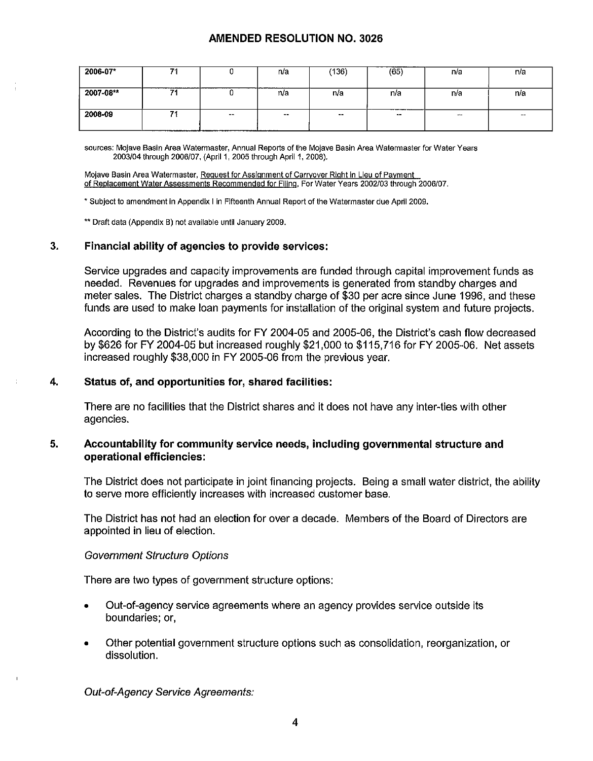# **AMENDED RESOLUTION NO. 3026**

| 2006-07*  | - |            | n/a                | (136)  | (65)                     | n/a    | n/a    |
|-----------|---|------------|--------------------|--------|--------------------------|--------|--------|
| 2007-08** |   | ∼          | ___________<br>n/a | n/a    | n/a                      | n/a    | n/a    |
| 2008-09   |   | $\sim$ $-$ | $\sim$             | $\sim$ | --------------<br>$\sim$ | $\sim$ | $\sim$ |

**sources: Mojave Basin Area Watermaster, Annual Reports of the Mojave Basin Area Watermaster for Water Years**  2003/04 through 2006/07, (April 1, 2005 through April 1, 2008).

**Mojave Basin Area Watermaster, Request for Assignment of Carryover Right In Lieu of Payment of Replacement Water Assessments Recommended for Filing. For Water Years 2002/03 through 2006/07.** 

\* **Subject to amendment In Appendix I In Fifteenth Annual Report of the Watermaster due April 2009.** 

\*\* **Draft data (Appendix B) not available until January 2009.** 

#### **3. Financial ability of agencies to provide services:**

Service upgrades and capacity improvements are funded through capital improvement funds as needed. Revenues for upgrades and improvements is generated from standby charges and meter sales. The District charges a standby charge of \$30 per acre since June 1996, and these funds are used to make loan payments for installation of the original system and future projects.

According to the District's audits for FY 2004-05 and 2005-06, the District's cash flow decreased by \$626 for FY 2004-05 but increased roughly \$21,000 to \$115,716 for FY 2005-06. Net assets increased roughly \$38,000 in FY 2005-06 from the previous year.

#### **4. Status of, and opportunities for, shared facilities:**

There are no facilities that the District shares and it does not have any inter-ties with other agencies.

#### **5. Accountability for community service needs, including governmental structure and operational efficiencies:**

The District does not participate in joint financing projects. Being a small water district, the ability to serve more efficiently increases with increased customer base.

The District has not had an election for over a decade. Members of the Board of Directors are appointed in lieu of election.

#### Government Structure Options

There are two types of government structure options:

- Out-of-agency service agreements where an agency provides service outside its boundaries; or,
- Other potential government structure options such as consolidation, reorganization, or dissolution.

Out-of-Agency Service Agreements: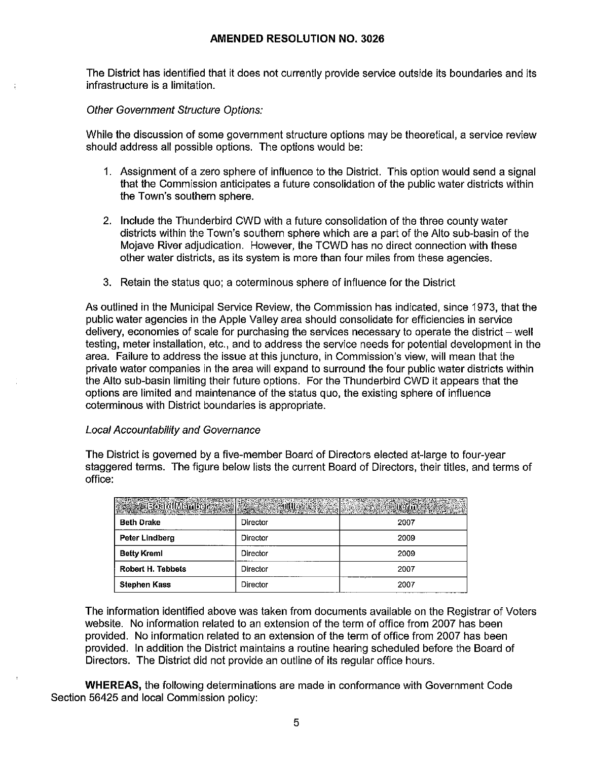#### **AMENDED RESOLUTION NO. 3026**

The District has identified that it does not currently provide service outside its boundaries and its infrastructure is a limitation.

#### Other Government Structure Options:

While the discussion of some government structure options may be theoretical, a service review should address all possible options. The options would be:

- 1. Assignment of a zero sphere of influence to the District. This option would send a signal that the Commission anticipates a future consolidation of the public water districts within the Town's southern sphere.
- 2. Include the Thunderbird CWD with a future consolidation of the three county water districts within the Town's southern sphere which are a part of the Alto sub-basin of the Mojave River adjudication. However, the TCWD has no direct connection with these other water districts, as its system is more than four miles from these agencies.
- 3. Retain the status quo; a coterminous sphere of influence for the District

As outlined in the Municipal Service Review, the Commission has indicated, since 1973, that the public water agencies in the Apple Valley area should consolidate for efficiencies in service delivery, economies of scale for purchasing the services necessary to operate the district  $-$  well testing, meter installation, etc., and to address the service needs for potential development in the area. Failure to address the issue at this juncture, in Commission's view, will mean that the private water companies in the area will expand to surround the four public water districts within the Alto sub-basin limiting their future options. For the Thunderbird CWD it appears that the options are limited and maintenance of the status quo, the existing sphere of influence coterminous with District boundaries is appropriate.

#### Local Accountability and Governance

The District is governed by a five-member Board of Directors elected at-large to four-year staggered terms. The figure below lists the current Board of Directors, their titles, and terms of office:

| <b>SA BOET COLLULATION</b> | $\mathbb{R}^n$ and the state of $\mathbb{R}^n$ and $\mathbb{R}^n$ and $\mathbb{R}^n$ and $\mathbb{R}^n$ |      |
|----------------------------|---------------------------------------------------------------------------------------------------------|------|
| <b>Beth Drake</b>          | Director                                                                                                | 2007 |
| Peter Lindberg             | Director                                                                                                | 2009 |
| <b>Betty Kreml</b>         | Director                                                                                                | 2009 |
| <b>Robert H. Tebbets</b>   | Director                                                                                                | 2007 |
| <b>Stephen Kass</b>        | Director                                                                                                | 2007 |

The information identified above was taken from documents available on the Registrar of Voters website. No information related to an extension of the term of office from 2007 has been provided. No information related to an extension of the term of office from 2007 has been provided. In addition the District maintains a routine hearing scheduled before the Board of Directors. The District did not provide an outline of its regular office hours.

**WHEREAS,** the following determinations are made in conformance with Government Code Section 56425 and local Commission policy: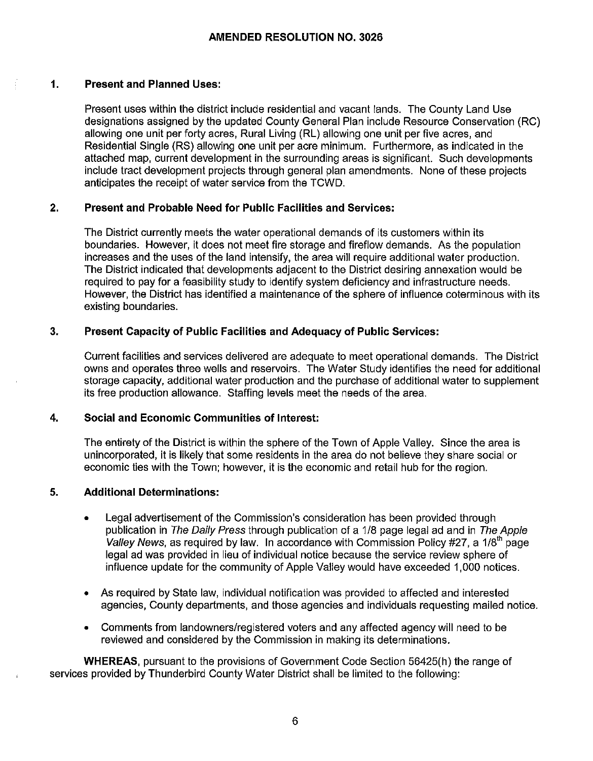# **1. Present and Planned Uses:**

Present uses within the district include residential and vacant lands. The County Land Use designations assigned by the updated County General Plan include Resource Conservation (RC) allowing one unit per forty acres, Rural Living (RL) allowing one unit per five acres, and Residential Single (RS) allowing one unit per acre minimum. Furthermore, as indicated in the attached map, current development in the surrounding areas is significant. Such developments include tract development projects through general plan amendments. None of these projects anticipates the receipt of water service from the TCWD.

# **2. Present and Probable Need for Public Facilities and Services:**

The District currently meets the water operational demands of its customers within its boundaries. However, it does not meet fire storage and fireflow demands. As the population increases and the uses of the land intensify, the area will require additional water production. The District indicated that developments adjacent to the District desiring annexation would be required to pay for a feasibility study to identify system deficiency and infrastructure needs. However, the District has identified a maintenance of the sphere of influence coterminous with its existing boundaries.

# **3. Present Capacity of Public Facilities and Adequacy of Public Services:**

Current facilities and services delivered are adequate to meet operational demands. The District owns and operates three wells and reservoirs. The Water Study identifies the need for additional storage capacity, additional water production and the purchase of additional water to supplement its free production allowance. Staffing levels meet the needs of the area.

# **4. Social and Economic Communities of Interest:**

The entirety of the District is within the sphere of the Town of Apple Valley. Since the area is unincorporated, it is likely that some residents in the area do not believe they share social or economic ties with the Town; however, it is the economic and retail hub for the region.

# **5. Additional Determinations:**

- Legal advertisement of the Commission's consideration has been provided through publication in The Daily Press through publication of a 1/8 page legal ad and in The Apple Valley News, as required by law. In accordance with Commission Policy #27, a  $1/8<sup>th</sup>$  page legal ad was provided in lieu of individual notice because the service review sphere of influence update for the community of Apple Valley would have exceeded 1,000 notices.
- As required by State law, individual notification was provided to affected and interested agencies, County departments, and those agencies and individuals requesting mailed notice.
- Comments from landowners/registered voters and any affected agency will need to be reviewed and considered by the Commission in making its determinations.

**WHEREAS,** pursuant to the provisions of Government Code Section 56425(h) the range of services provided by Thunderbird County Water District shall be limited to the following: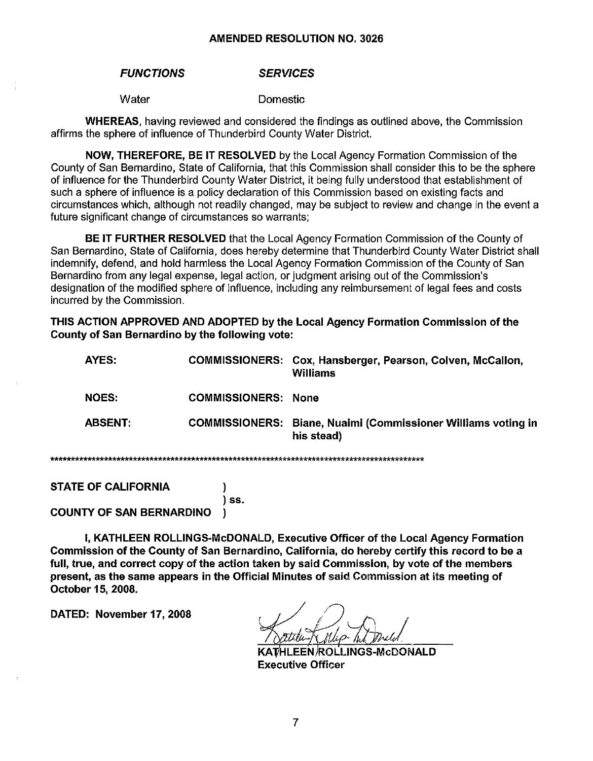#### **FUNCTIONS SERVICES**

Water

**Domestic** 

**WHEREAS**, having reviewed and considered the findings as outlined above, the Commission affirms the sphere of influence of Thunderbird County Water District.

**NOW. THEREFORE, BE IT RESOLVED** by the Local Agency Formation Commission of the County of San Bernardino. State of California, that this Commission shall consider this to be the sphere of influence for the Thunderbird County Water District, it being fully understood that establishment of such a sphere of influence is a policy declaration of this Commission based on existing facts and circumstances which, although not readily changed, may be subject to review and change in the event a future significant change of circumstances so warrants;

**BE IT FURTHER RESOLVED** that the Local Agency Formation Commission of the County of San Bernardino, State of California, does hereby determine that Thunderbird County Water District shall indemnify, defend, and hold harmless the Local Agency Formation Commission of the County of San Bernardino from any legal expense, legal action, or judgment arising out of the Commission's designation of the modified sphere of influence, including any reimbursement of legal fees and costs incurred by the Commission.

THIS ACTION APPROVED AND ADOPTED by the Local Agency Formation Commission of the County of San Bernardino by the following vote:

| AYES:          |                            | COMMISSIONERS: Cox, Hansberger, Pearson, Colven, McCallon,<br>Williams             |
|----------------|----------------------------|------------------------------------------------------------------------------------|
| <b>NOES:</b>   | <b>COMMISSIONERS: None</b> |                                                                                    |
| <b>ABSENT:</b> |                            | <b>COMMISSIONERS: Biane, Nualmi (Commissioner Williams voting in</b><br>his stead) |
|                |                            |                                                                                    |

**STATE OF CALIFORNIA** 

مقامله بقامله بقامله

**COUNTY OF SAN BERNARDINO** 

I, KATHLEEN ROLLINGS-McDONALD, Executive Officer of the Local Agency Formation Commission of the County of San Bernardino, California, do hereby certify this record to be a full, true, and correct copy of the action taken by said Commission, by vote of the members present, as the same appears in the Official Minutes of said Commission at its meeting of October 15, 2008.

) SS.

<sup>)</sup>

DATED: November 17, 2008

**ROLLINGS-McDONALD Executive Officer** 

 $\overline{7}$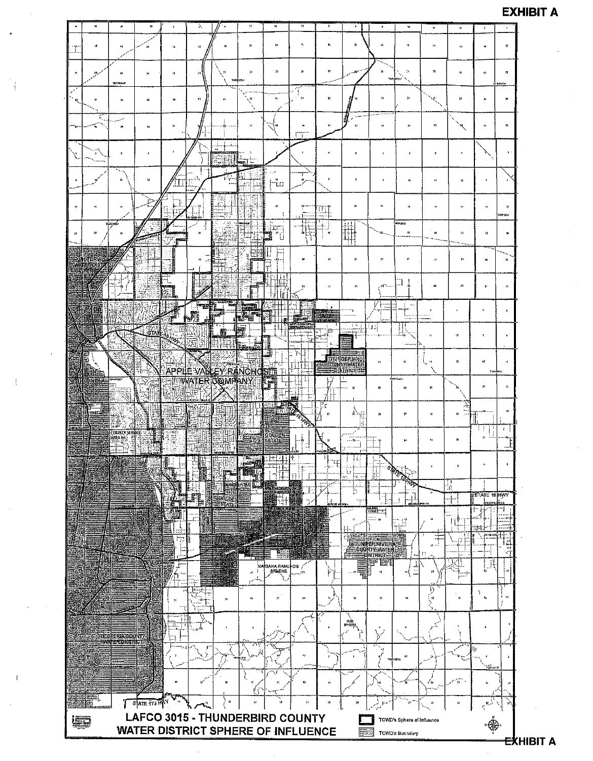# **EXHIBIT A**



<del>EX</del>HIBIT A